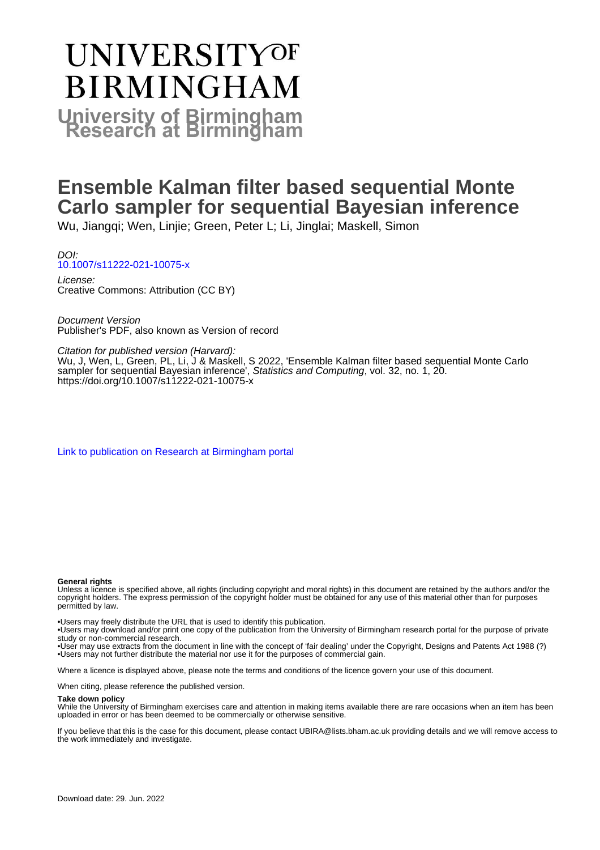# **UNIVERSITYOF BIRMINGHAM University of Birmingham**

# **Ensemble Kalman filter based sequential Monte Carlo sampler for sequential Bayesian inference**

Wu, Jiangqi; Wen, Linjie; Green, Peter L; Li, Jinglai; Maskell, Simon

DOI: [10.1007/s11222-021-10075-x](https://doi.org/10.1007/s11222-021-10075-x)

License: Creative Commons: Attribution (CC BY)

Document Version Publisher's PDF, also known as Version of record

Citation for published version (Harvard):

Wu, J, Wen, L, Green, PL, Li, J & Maskell, S 2022, 'Ensemble Kalman filter based sequential Monte Carlo sampler for sequential Bayesian inference', Statistics and Computing, vol. 32, no. 1, 20. <https://doi.org/10.1007/s11222-021-10075-x>

[Link to publication on Research at Birmingham portal](https://birmingham.elsevierpure.com/en/publications/baf5a74d-ce4b-4dd0-a534-4d0f02c12c9a)

#### **General rights**

Unless a licence is specified above, all rights (including copyright and moral rights) in this document are retained by the authors and/or the copyright holders. The express permission of the copyright holder must be obtained for any use of this material other than for purposes permitted by law.

• Users may freely distribute the URL that is used to identify this publication.

• Users may download and/or print one copy of the publication from the University of Birmingham research portal for the purpose of private study or non-commercial research.

• User may use extracts from the document in line with the concept of 'fair dealing' under the Copyright, Designs and Patents Act 1988 (?) • Users may not further distribute the material nor use it for the purposes of commercial gain.

Where a licence is displayed above, please note the terms and conditions of the licence govern your use of this document.

When citing, please reference the published version.

#### **Take down policy**

While the University of Birmingham exercises care and attention in making items available there are rare occasions when an item has been uploaded in error or has been deemed to be commercially or otherwise sensitive.

If you believe that this is the case for this document, please contact UBIRA@lists.bham.ac.uk providing details and we will remove access to the work immediately and investigate.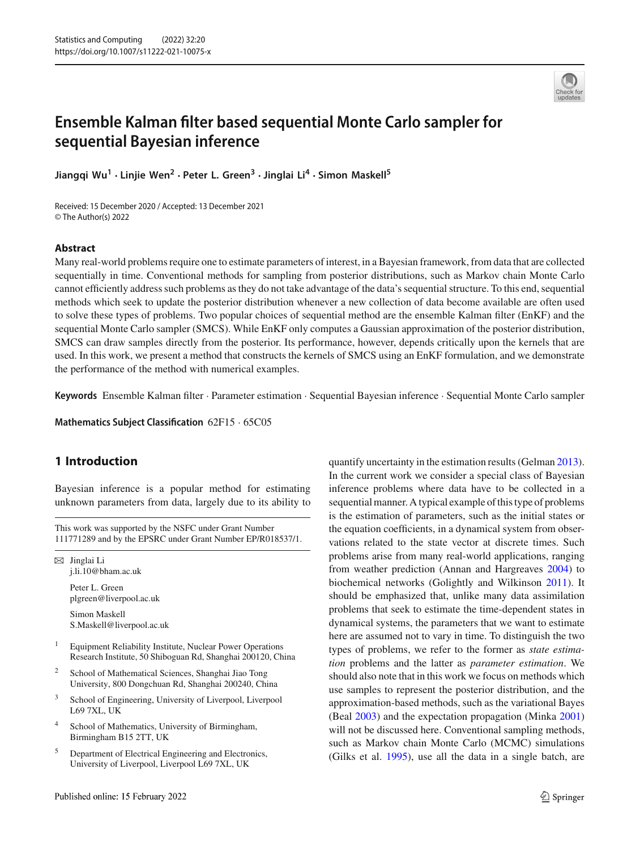

# **Ensemble Kalman filter based sequential Monte Carlo sampler for sequential Bayesian inference**

**Jiangqi Wu<sup>1</sup> · Linjie Wen<sup>2</sup> · Peter L. Green<sup>3</sup> · Jinglai Li4 · Simon Maskell<sup>5</sup>**

Received: 15 December 2020 / Accepted: 13 December 2021 © The Author(s) 2022

#### **Abstract**

Many real-world problems require one to estimate parameters of interest, in a Bayesian framework, from data that are collected sequentially in time. Conventional methods for sampling from posterior distributions, such as Markov chain Monte Carlo cannot efficiently address such problems as they do not take advantage of the data's sequential structure. To this end, sequential methods which seek to update the posterior distribution whenever a new collection of data become available are often used to solve these types of problems. Two popular choices of sequential method are the ensemble Kalman filter (EnKF) and the sequential Monte Carlo sampler (SMCS). While EnKF only computes a Gaussian approximation of the posterior distribution, SMCS can draw samples directly from the posterior. Its performance, however, depends critically upon the kernels that are used. In this work, we present a method that constructs the kernels of SMCS using an EnKF formulation, and we demonstrate the performance of the method with numerical examples.

**Keywords** Ensemble Kalman filter · Parameter estimation · Sequential Bayesian inference · Sequential Monte Carlo sampler

**Mathematics Subject Classification** 62F15 · 65C05

# **1 Introduction**

Bayesian inference is a popular method for estimating unknown parameters from data, largely due to its ability to

This work was supported by the NSFC under Grant Number 111771289 and by the EPSRC under Grant Number EP/R018537/1.

 $\boxtimes$  Jinglai Li j.li.10@bham.ac.uk

> Peter L. Green plgreen@liverpool.ac.uk

Simon Maskell S.Maskell@liverpool.ac.uk

- <sup>1</sup> Equipment Reliability Institute, Nuclear Power Operations Research Institute, 50 Shiboguan Rd, Shanghai 200120, China
- <sup>2</sup> School of Mathematical Sciences, Shanghai Jiao Tong University, 800 Dongchuan Rd, Shanghai 200240, China
- <sup>3</sup> School of Engineering, University of Liverpool, Liverpool L69 7XL, UK
- <sup>4</sup> School of Mathematics, University of Birmingham, Birmingham B15 2TT, UK
- <sup>5</sup> Department of Electrical Engineering and Electronics, University of Liverpool, Liverpool L69 7XL, UK

quantify uncertainty in the estimation results (Gelma[n](#page-14-0) [2013](#page-14-0)). In the current work we consider a special class of Bayesian inference problems where data have to be collected in a sequential manner. A typical example of this type of problems is the estimation of parameters, such as the initial states or the equation coefficients, in a dynamical system from observations related to the state vector at discrete times. Such problems arise from many real-world applications, ranging from weather prediction (Annan and Hargreave[s](#page-13-0) [2004](#page-13-0)) to biochemical networks (Golightly and Wilkinso[n](#page-14-1) [2011](#page-14-1)). It should be emphasized that, unlike many data assimilation problems that seek to estimate the time-dependent states in dynamical systems, the parameters that we want to estimate here are assumed not to vary in time. To distinguish the two types of problems, we refer to the former as *state estimation* problems and the latter as *parameter estimation*. We should also note that in this work we focus on methods which use samples to represent the posterior distribution, and the approximation-based methods, such as the variational Bayes (Bea[l](#page-13-1) [2003\)](#page-13-1) and the expectation propagation (Mink[a](#page-14-2) [2001\)](#page-14-2) will not be discussed here. Conventional sampling methods, such as Markov chain Monte Carlo (MCMC) simulations (Gilks et al[.](#page-14-3) [1995](#page-14-3)), use all the data in a single batch, are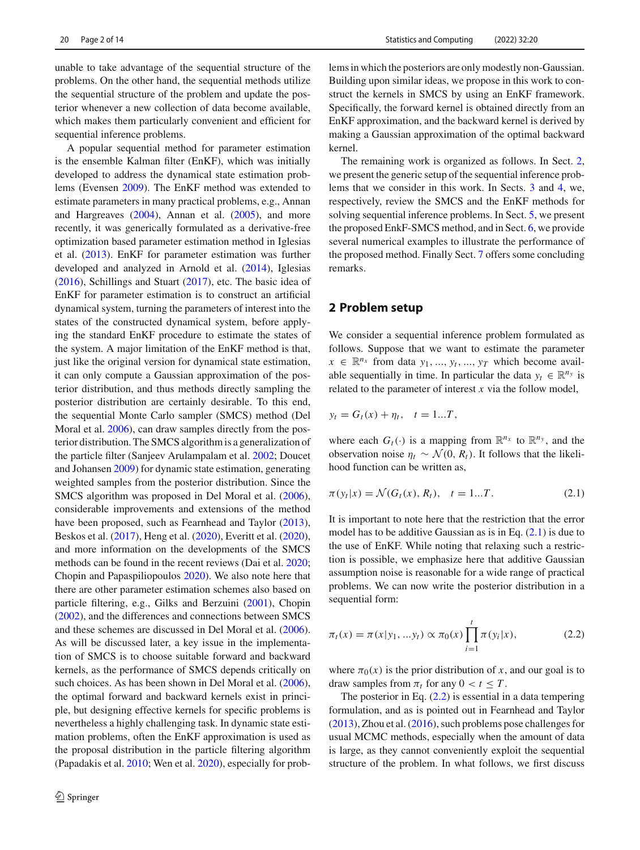20 Page 2 of 14 Statistics and Computing (2022) 32:20

unable to take advantage of the sequential structure of the problems. On the other hand, the sequential methods utilize the sequential structure of the problem and update the posterior whenever a new collection of data become available, which makes them particularly convenient and efficient for sequential inference problems.

A popular sequential method for parameter estimation is the ensemble Kalman filter (EnKF), which was initially developed to address the dynamical state estimation problems (Evense[n](#page-13-2) [2009\)](#page-13-2). The EnKF method was extended to estimate parameters in many practical problems, e.g., Annan and Hargreave[s](#page-13-0) [\(2004](#page-13-0)), Annan et al[.](#page-13-3) [\(2005\)](#page-13-3), and more recently, it was generically formulated as a derivative-free optimization based parameter estimation method in Iglesias et al[.](#page-14-4) [\(2013](#page-14-4)). EnKF for parameter estimation was further developed and analyzed in Arnold et al[.](#page-13-4) [\(2014](#page-13-4)), Iglesia[s](#page-14-5) [\(2016](#page-14-5)), Schillings and Stuar[t](#page-14-6) [\(2017](#page-14-6)), etc. The basic idea of EnKF for parameter estimation is to construct an artificial dynamical system, turning the parameters of interest into the states of the constructed dynamical system, before applying the standard EnKF procedure to estimate the states of the system. A major limitation of the EnKF method is that, just like the original version for dynamical state estimation, it can only compute a Gaussian approximation of the posterior distribution, and thus methods directly sampling the posterior distribution are certainly desirable. To this end, the sequential Monte Carlo sampler (SMCS) method (Del Moral et al[.](#page-13-5) [2006](#page-13-5)), can draw samples directly from the posterior distribution. The SMCS algorithm is a generalization of the particle filter (Sanjeev Arulampalam et al[.](#page-14-7) [2002](#page-14-7); Doucet and Johanse[n](#page-13-6) [2009\)](#page-13-6) for dynamic state estimation, generating weighted samples from the posterior distribution. Since the SMCS algorithm was proposed in Del Moral et al[.](#page-13-5) [\(2006](#page-13-5)), considerable improvements and extensions of the method have been proposed, such as Fearnhead and Taylo[r](#page-14-8) [\(2013](#page-14-8)), Beskos et al[.](#page-13-7) [\(2017](#page-13-7)), Heng et al[.](#page-14-9) [\(2020](#page-14-9)), Everitt et al[.](#page-14-10) [\(2020](#page-14-10)), and more information on the developments of the SMCS methods can be found in the recent reviews (Dai et al[.](#page-13-8) [2020](#page-13-8); Chopin and Papaspiliopoulo[s](#page-13-9) [2020](#page-13-9)). We also note here that there are other parameter estimation schemes also based on particle filtering, e.g., Gilks and Berzuin[i](#page-14-11) [\(2001\)](#page-14-11), Chopi[n](#page-13-10) [\(2002](#page-13-10)), and the differences and connections between SMCS and these schemes are discussed in Del Moral et al[.](#page-13-5) [\(2006](#page-13-5)). As will be discussed later, a key issue in the implementation of SMCS is to choose suitable forward and backward kernels, as the performance of SMCS depends critically on such choices. As has been shown in Del Moral et al[.](#page-13-5) [\(2006](#page-13-5)), the optimal forward and backward kernels exist in principle, but designing effective kernels for specific problems is nevertheless a highly challenging task. In dynamic state estimation problems, often the EnKF approximation is used as the proposal distribution in the particle filtering algorithm (Papadakis et al[.](#page-14-12) [2010;](#page-14-12) Wen et al[.](#page-14-13) [2020\)](#page-14-13), especially for problems in which the posteriors are only modestly non-Gaussian. Building upon similar ideas, we propose in this work to construct the kernels in SMCS by using an EnKF framework. Specifically, the forward kernel is obtained directly from an EnKF approximation, and the backward kernel is derived by making a Gaussian approximation of the optimal backward kernel.

The remaining work is organized as follows. In Sect. [2,](#page-2-0) we present the generic setup of the sequential inference problems that we consider in this work. In Sects. [3](#page-3-0) and [4,](#page-4-0) we, respectively, review the SMCS and the EnKF methods for solving sequential inference problems. In Sect. [5,](#page-4-1) we present the proposed EnkF-SMCS method, and in Sect. [6,](#page-7-0) we provide several numerical examples to illustrate the performance of the proposed method. Finally Sect. [7](#page-11-0) offers some concluding remarks.

#### <span id="page-2-0"></span>**2 Problem setup**

We consider a sequential inference problem formulated as follows. Suppose that we want to estimate the parameter  $x \in \mathbb{R}^{n_x}$  from data  $y_1, ..., y_t, ..., y_T$  which become available sequentially in time. In particular the data  $y_t \in \mathbb{R}^{n_y}$  is related to the parameter of interest *x* via the follow model,

$$
y_t = G_t(x) + \eta_t, \quad t = 1...T,
$$

where each  $G_t(\cdot)$  is a mapping from  $\mathbb{R}^{n_x}$  to  $\mathbb{R}^{n_y}$ , and the observation noise  $\eta_t \sim \mathcal{N}(0, R_t)$ . It follows that the likelihood function can be written as,

<span id="page-2-1"></span>
$$
\pi(y_t|x) = \mathcal{N}(G_t(x), R_t), \quad t = 1...T.
$$
 (2.1)

It is important to note here that the restriction that the error model has to be additive Gaussian as is in Eq.  $(2.1)$  is due to the use of EnKF. While noting that relaxing such a restriction is possible, we emphasize here that additive Gaussian assumption noise is reasonable for a wide range of practical problems. We can now write the posterior distribution in a sequential form:

<span id="page-2-2"></span>
$$
\pi_t(x) = \pi(x|y_1, \ldots, y_t) \propto \pi_0(x) \prod_{i=1}^t \pi(y_i|x), \tag{2.2}
$$

where  $\pi_0(x)$  is the prior distribution of *x*, and our goal is to draw samples from  $\pi_t$  for any  $0 < t \leq T$ .

The posterior in Eq.  $(2.2)$  is essential in a data tempering formulation, and as is pointed out in Fearnhead and Taylo[r](#page-14-8) [\(2013](#page-14-8)), Zhou et al[.](#page-14-14) [\(2016\)](#page-14-14), such problems pose challenges for usual MCMC methods, especially when the amount of data is large, as they cannot conveniently exploit the sequential structure of the problem. In what follows, we first discuss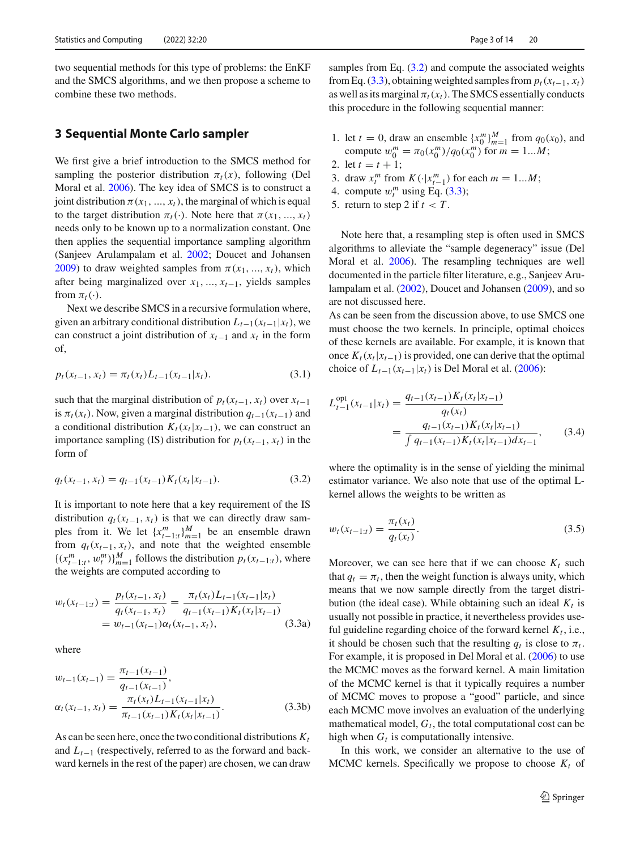two sequential methods for this type of problems: the EnKF and the SMCS algorithms, and we then propose a scheme to combine these two methods.

### <span id="page-3-0"></span>**3 Sequential Monte Carlo sampler**

We first give a brief introduction to the SMCS method for sampling the posterior distribution  $\pi_t(x)$ , following (Del Moral et al[.](#page-13-5) [2006\)](#page-13-5). The key idea of SMCS is to construct a joint distribution  $\pi(x_1, ..., x_t)$ , the marginal of which is equal to the target distribution  $\pi_t(\cdot)$ . Note here that  $\pi(x_1, ..., x_t)$ needs only to be known up to a normalization constant. One then applies the sequential importance sampling algorithm (Sanjeev Arulampalam et al[.](#page-14-7) [2002](#page-14-7); Doucet and Johanse[n](#page-13-6) [2009\)](#page-13-6) to draw weighted samples from  $\pi(x_1, ..., x_t)$ , which after being marginalized over *x*1, ..., *xt*−1, yields samples from  $\pi_t(\cdot)$ .

Next we describe SMCS in a recursive formulation where, given an arbitrary conditional distribution  $L_{t-1}(x_{t-1}|x_t)$ , we can construct a joint distribution of  $x_{t-1}$  and  $x_t$  in the form of,

$$
p_t(x_{t-1}, x_t) = \pi_t(x_t) L_{t-1}(x_{t-1}|x_t).
$$
\n(3.1)

such that the marginal distribution of  $p_t(x_{t-1}, x_t)$  over  $x_{t-1}$ is  $\pi_t(x_t)$ . Now, given a marginal distribution  $q_{t-1}(x_{t-1})$  and a conditional distribution  $K_t(x_t|x_{t-1})$ , we can construct an importance sampling (IS) distribution for  $p_t(x_{t-1}, x_t)$  in the form of

<span id="page-3-1"></span>
$$
q_t(x_{t-1}, x_t) = q_{t-1}(x_{t-1}) K_t(x_t | x_{t-1}).
$$
\n(3.2)

It is important to note here that a key requirement of the IS distribution  $q_t(x_{t-1}, x_t)$  is that we can directly draw samples from it. We let  $\{x_{t-1:t}^m\}_{m=1}^M$  be an ensemble drawn from  $q_t(x_{t-1}, x_t)$ , and note that the weighted ensemble  $\{(x_{t-1:t}^m, w_t^m)\}_{m=1}^M$  follows the distribution  $p_t(x_{t-1:t})$ , where the weights are computed according to

$$
w_t(x_{t-1:t}) = \frac{p_t(x_{t-1}, x_t)}{q_t(x_{t-1}, x_t)} = \frac{\pi_t(x_t)L_{t-1}(x_{t-1}|x_t)}{q_{t-1}(x_{t-1})K_t(x_t|x_{t-1})}
$$
  
=  $w_{t-1}(x_{t-1})\alpha_t(x_{t-1}, x_t),$  (3.3a)

where

$$
w_{t-1}(x_{t-1}) = \frac{\pi_{t-1}(x_{t-1})}{q_{t-1}(x_{t-1})},
$$
  
\n
$$
\alpha_t(x_{t-1}, x_t) = \frac{\pi_t(x_t)L_{t-1}(x_{t-1}|x_t)}{\pi_{t-1}(x_{t-1})K_t(x_t|x_{t-1})}.
$$
\n(3.3b)

As can be seen here, once the two conditional distributions  $K_t$ and *Lt*−<sup>1</sup> (respectively, referred to as the forward and backward kernels in the rest of the paper) are chosen, we can draw samples from Eq.  $(3.2)$  and compute the associated weights from Eq. [\(3.3\)](#page-3-2), obtaining weighted samples from  $p_t(x_{t-1}, x_t)$ as well as its marginal  $\pi_t(x_t)$ . The SMCS essentially conducts this procedure in the following sequential manner:

- 1. let  $t = 0$ , draw an ensemble  $\{x_0^m\}_{m=1}^M$  from  $q_0(x_0)$ , and compute  $w_0^m = \pi_0(x_0^m)/q_0(x_0^m)$  for  $m = 1...M$ ;
- 2. let  $t = t + 1$ ;
- 3. draw  $x_t^m$  from  $K(\cdot|x_{t-1}^m)$  for each  $m = 1...M$ ;
- 4. compute  $w_t^m$  using Eq. [\(3.3\)](#page-3-2);
- 5. return to step 2 if  $t < T$ .

Note here that, a resampling step is often used in SMCS algorithms to alleviate the "sample degeneracy" issue (Del Moral et al[.](#page-13-5) [2006](#page-13-5)). The resampling techniques are well documented in the particle filter literature, e.g., Sanjeev Arulampalam et al[.](#page-14-7) [\(2002\)](#page-14-7), Doucet and Johanse[n](#page-13-6) [\(2009\)](#page-13-6), and so are not discussed here.

As can be seen from the discussion above, to use SMCS one must choose the two kernels. In principle, optimal choices of these kernels are available. For example, it is known that once  $K_t(x_t|x_{t-1})$  is provided, one can derive that the optimal choice of  $L_{t-1}(x_{t-1}|x_t)$  is Del Moral et al[.](#page-13-5) [\(2006](#page-13-5)):

<span id="page-3-3"></span>
$$
L_{t-1}^{\text{opt}}(x_{t-1}|x_t) = \frac{q_{t-1}(x_{t-1})K_t(x_t|x_{t-1})}{q_t(x_t)}
$$
  
= 
$$
\frac{q_{t-1}(x_{t-1})K_t(x_t|x_{t-1})}{\int q_{t-1}(x_{t-1})K_t(x_t|x_{t-1})dx_{t-1}},
$$
(3.4)

where the optimality is in the sense of yielding the minimal estimator variance. We also note that use of the optimal Lkernel allows the weights to be written as

$$
w_t(x_{t-1:t}) = \frac{\pi_t(x_t)}{q_t(x_t)}.
$$
\n(3.5)

<span id="page-3-2"></span>Moreover, we can see here that if we can choose  $K_t$  such that  $q_t = \pi_t$ , then the weight function is always unity, which means that we now sample directly from the target distribution (the ideal case). While obtaining such an ideal  $K_t$  is usually not possible in practice, it nevertheless provides useful guideline regarding choice of the forward kernel  $K_t$ , i.e., it should be chosen such that the resulting  $q_t$  is close to  $\pi_t$ . For example, it is proposed in Del Moral et al[.](#page-13-5) [\(2006](#page-13-5)) to use the MCMC moves as the forward kernel. A main limitation of the MCMC kernel is that it typically requires a number of MCMC moves to propose a "good" particle, and since each MCMC move involves an evaluation of the underlying mathematical model,  $G_t$ , the total computational cost can be high when  $G_t$  is computationally intensive.

In this work, we consider an alternative to the use of MCMC kernels. Specifically we propose to choose  $K_t$  of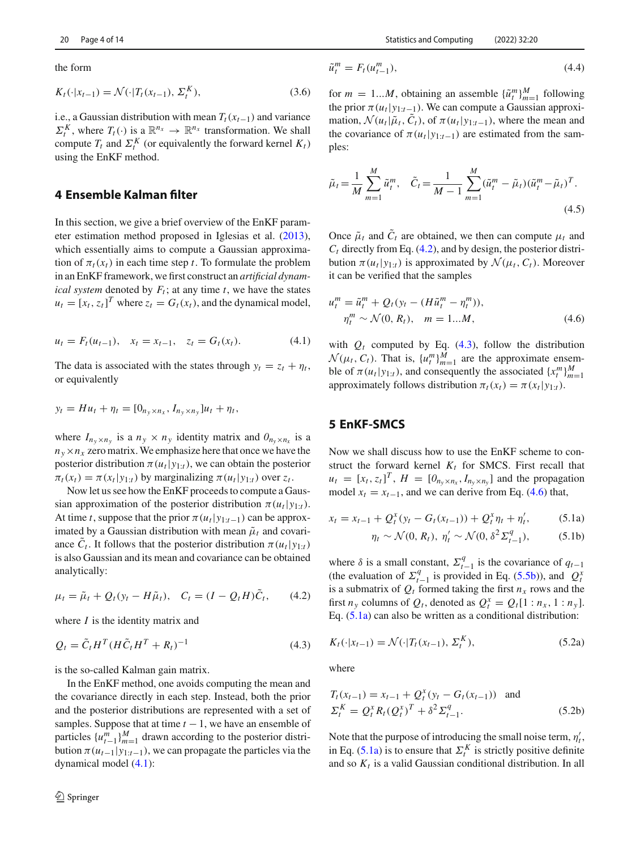the form

$$
K_t(\cdot | x_{t-1}) = \mathcal{N}(\cdot | T_t(x_{t-1}), \Sigma_t^K), \tag{3.6}
$$

i.e., a Gaussian distribution with mean  $T_t(x_{t-1})$  and variance  $\Sigma_t^K$ , where  $T_t(\cdot)$  is a  $\mathbb{R}^{n_x} \to \mathbb{R}^{n_x}$  transformation. We shall compute  $T_t$  and  $\Sigma_t^K$  (or equivalently the forward kernel  $K_t$ ) using the EnKF method.

# <span id="page-4-0"></span>**4 Ensemble Kalman filter**

In this section, we give a brief overview of the EnKF parameter estimation method proposed in Iglesias et al[.](#page-14-4) [\(2013](#page-14-4)), which essentially aims to compute a Gaussian approximation of  $\pi_t(x_t)$  in each time step *t*. To formulate the problem in an EnKF framework, we first construct an *artificial dynamical system* denoted by  $F_t$ ; at any time  $t$ , we have the states  $u_t = [x_t, z_t]^T$  where  $z_t = G_t(x_t)$ , and the dynamical model,

<span id="page-4-2"></span>
$$
u_t = F_t(u_{t-1}), \quad x_t = x_{t-1}, \quad z_t = G_t(x_t). \tag{4.1}
$$

The data is associated with the states through  $y_t = z_t + \eta_t$ , or equivalently

$$
y_t = Hu_t + \eta_t = [0_{n_y \times n_x}, I_{n_y \times n_y}]u_t + \eta_t,
$$

where  $I_{n_v \times n_v}$  is a  $n_v \times n_v$  identity matrix and  $O_{n_v \times n_x}$  is a  $n_y \times n_x$  zero matrix. We emphasize here that once we have the posterior distribution  $\pi(u_t|y_{1:t})$ , we can obtain the posterior  $\pi_t(x_t) = \pi(x_t|y_{1:t})$  by marginalizing  $\pi(u_t|y_{1:t})$  over  $z_t$ .

Now let us see how the EnKF proceeds to compute a Gaussian approximation of the posterior distribution  $\pi(u_t|y_{1:t})$ . At time *t*, suppose that the prior  $\pi(u_t|y_{1:t-1})$  can be approximated by a Gaussian distribution with mean  $\tilde{\mu}_t$  and covariance  $\tilde{C}_t$ . It follows that the posterior distribution  $\pi(u_t|y_{1:t})$ is also Gaussian and its mean and covariance can be obtained analytically:

<span id="page-4-3"></span>
$$
\mu_t = \tilde{\mu}_t + Q_t(y_t - H\tilde{\mu}_t), \quad C_t = (I - Q_t H)\tilde{C}_t, \tag{4.2}
$$

where *I* is the identity matrix and

<span id="page-4-4"></span>
$$
Q_t = \tilde{C}_t H^T (H \tilde{C}_t H^T + R_t)^{-1}
$$
\n
$$
(4.3)
$$

is the so-called Kalman gain matrix.

In the EnKF method, one avoids computing the mean and the covariance directly in each step. Instead, both the prior and the posterior distributions are represented with a set of samples. Suppose that at time  $t - 1$ , we have an ensemble of particles  $\{u_{t-1}^m\}_{m=1}^M$  drawn according to the posterior distribution  $\pi(u_{t-1}|y_{1:t-1})$ , we can propagate the particles via the dynamical model [\(4.1\)](#page-4-2):

$$
\tilde{u}_t^m = F_t(u_{t-1}^m),\tag{4.4}
$$

for  $m = 1...M$ , obtaining an assemble  $\{\tilde{u}_t^m\}_{m=1}^M$  following the prior  $\pi(u_t|y_{1:t-1})$ . We can compute a Gaussian approximation,  $\mathcal{N}(u_t|\tilde{\mu}_t, C_t)$ , of  $\pi(u_t|y_{1:t-1})$ , where the mean and the covariance of  $\pi(u_t|y_{1:t-1})$  are estimated from the samples:

<span id="page-4-8"></span>
$$
\tilde{\mu}_t = \frac{1}{M} \sum_{m=1}^{M} \tilde{u}_t^m, \quad \tilde{C}_t = \frac{1}{M-1} \sum_{m=1}^{M} (\tilde{u}_t^m - \tilde{\mu}_t) (\tilde{u}_t^m - \tilde{\mu}_t)^T.
$$
\n(4.5)

Once  $\tilde{\mu}_t$  and  $\tilde{C}_t$  are obtained, we then can compute  $\mu_t$  and  $C_t$  directly from Eq.  $(4.2)$ , and by design, the posterior distribution  $\pi(u_t|y_{1:t})$  is approximated by  $\mathcal{N}(\mu_t, C_t)$ . Moreover it can be verified that the samples

<span id="page-4-5"></span>
$$
u_t^m = \tilde{u}_t^m + Q_t(y_t - (H\tilde{u}_t^m - \eta_t^m)),
$$
  
\n
$$
\eta_t^m \sim \mathcal{N}(0, R_t), \quad m = 1...M,
$$
\n(4.6)

with  $Q_t$  computed by Eq.  $(4.3)$ , follow the distribution  $\mathcal{N}(\mu_t, C_t)$ . That is,  $\{u_t^m\}_{m=1}^M$  are the approximate ensemble of  $\pi(u_t|y_{1:t})$ , and consequently the associated  $\{x_t^m\}_{m=1}^M$ approximately follows distribution  $\pi_t(x_t) = \pi(x_t|y_{1:t})$ .

### <span id="page-4-1"></span>**5 EnKF-SMCS**

Now we shall discuss how to use the EnKF scheme to construct the forward kernel  $K_t$  for SMCS. First recall that  $u_t = [x_t, z_t]^T$ ,  $H = [0_{n_y \times n_x}, I_{n_y \times n_y}]$  and the propagation model  $x_t = x_{t-1}$ , and we can derive from Eq. [\(4.6\)](#page-4-5) that,

$$
x_t = x_{t-1} + Q_t^x (y_t - G_t(x_{t-1})) + Q_t^x \eta_t + \eta_t',
$$
 (5.1a)

<span id="page-4-7"></span><span id="page-4-6"></span>
$$
\eta_t \sim \mathcal{N}(0, R_t), \ \eta'_t \sim \mathcal{N}(0, \delta^2 \Sigma_{t-1}^q), \tag{5.1b}
$$

where  $\delta$  is a small constant,  $\Sigma_{t-1}^q$  is the covariance of  $q_{t-1}$ (the evaluation of  $\Sigma_{t-1}^q$  is provided in Eq. [\(5.5b\)](#page-5-0)), and  $\Omega_t^x$ is a submatrix of  $Q_t$  formed taking the first  $n_x$  rows and the first  $n_y$  columns of  $Q_t$ , denoted as  $Q_t^x = Q_t[1 : n_x, 1 : n_y]$ . Eq. [\(5.1a\)](#page-4-6) can also be written as a conditional distribution:

$$
K_t(\cdot | x_{t-1}) = \mathcal{N}(\cdot | T_t(x_{t-1}), \Sigma_t^K), \tag{5.2a}
$$

where

$$
T_t(x_{t-1}) = x_{t-1} + Q_t^x(y_t - G_t(x_{t-1})) \text{ and}
$$
  
\n
$$
\Sigma_t^K = Q_t^x R_t (Q_t^x)^T + \delta^2 \Sigma_{t-1}^q.
$$
\n(5.2b)

Note that the purpose of introducing the small noise term,  $\eta'_t$ , in Eq. [\(5.1a\)](#page-4-6) is to ensure that  $\Sigma_t^K$  is strictly positive definite and so  $K_t$  is a valid Gaussian conditional distribution. In all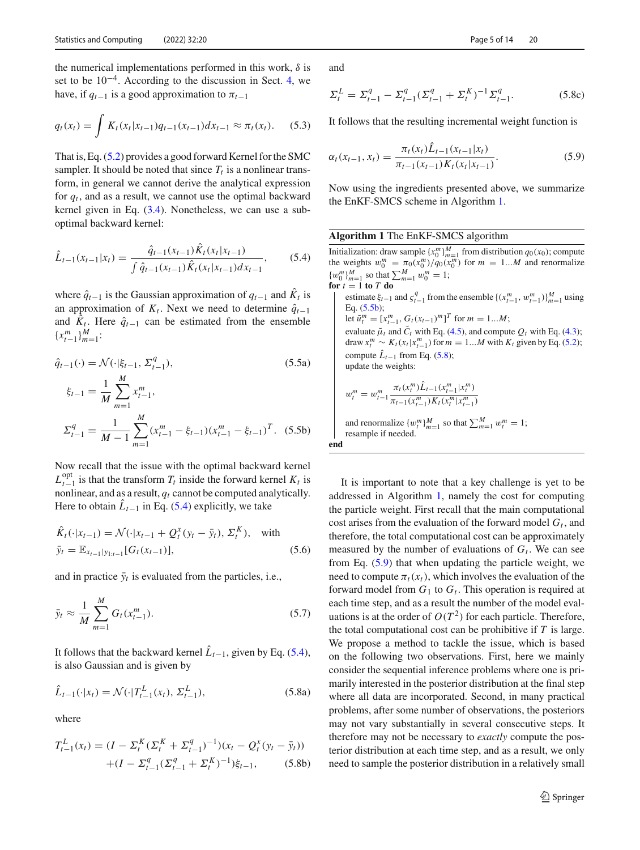the numerical implementations performed in this work,  $\delta$  is set to be 10−4. According to the discussion in Sect. [4,](#page-4-0) we have, if  $q_{t-1}$  is a good approximation to  $\pi_{t-1}$ 

<span id="page-5-5"></span>
$$
q_t(x_t) = \int K_t(x_t|x_{t-1})q_{t-1}(x_{t-1})dx_{t-1} \approx \pi_t(x_t). \quad (5.3)
$$

That is, Eq. [\(5.2\)](#page-4-7) provides a good forward Kernel for the SMC sampler. It should be noted that since  $T_t$  is a nonlinear transform, in general we cannot derive the analytical expression for  $q_t$ , and as a result, we cannot use the optimal backward kernel given in Eq. [\(3.4\)](#page-3-3). Nonetheless, we can use a suboptimal backward kernel:

<span id="page-5-1"></span>
$$
\hat{L}_{t-1}(x_{t-1}|x_t) = \frac{\hat{q}_{t-1}(x_{t-1})\hat{K}_t(x_t|x_{t-1})}{\int \hat{q}_{t-1}(x_{t-1})\hat{K}_t(x_t|x_{t-1})dx_{t-1}},
$$
(5.4)

where  $\hat{q}_{t-1}$  is the Gaussian approximation of  $q_{t-1}$  and  $\hat{K}_t$  is an approximation of  $K_t$ . Next we need to determine  $\hat{q}_{t-1}$ and  $K_t$ . Here  $\hat{q}_{t-1}$  can be estimated from the ensemble  ${x_{t-1}^m}_{m=1}^M$ :

<span id="page-5-6"></span>
$$
\hat{q}_{t-1}(\cdot) = \mathcal{N}(\cdot | \xi_{t-1}, \Sigma_{t-1}^q),
$$
\n
$$
\xi_{t-1} = \frac{1}{M} \sum_{m=1}^M x_{t-1}^m,
$$
\n
$$
\Sigma_{t-1}^q = \frac{1}{M-1} \sum_{m=1}^M (x_{t-1}^m - \xi_{t-1}) (x_{t-1}^m - \xi_{t-1})^T.
$$
\n(5.5b)

Now recall that the issue with the optimal backward kernel  $L_{t-1}^{\text{opt}}$  is that the transform  $T_t$  inside the forward kernel  $K_t$  is nonlinear, and as a result,  $q_t$  cannot be computed analytically. Here to obtain  $\hat{L}_{t-1}$  in Eq. [\(5.4\)](#page-5-1) explicitly, we take

$$
\hat{K}_t(\cdot|x_{t-1}) = \mathcal{N}(\cdot|x_{t-1} + Q_t^x(y_t - \bar{y}_t), \Sigma_t^K), \text{ with}
$$
  
\n
$$
\bar{y}_t = \mathbb{E}_{x_{t-1}|y_{1:t-1}}[G_t(x_{t-1})], \qquad (5.6)
$$

and in practice  $\bar{y}_t$  is evaluated from the particles, i.e.,

$$
\bar{y}_t \approx \frac{1}{M} \sum_{m=1}^{M} G_t(x_{t-1}^m). \tag{5.7}
$$

<span id="page-5-3"></span>It follows that the backward kernel  $\hat{L}_{t-1}$ , given by Eq. [\(5.4\)](#page-5-1), is also Gaussian and is given by

$$
\hat{L}_{t-1}(\cdot | x_t) = \mathcal{N}(\cdot | T_{t-1}^L(x_t), \Sigma_{t-1}^L), \tag{5.8a}
$$

where

$$
T_{t-1}^{L}(x_{t}) = (I - \Sigma_{t}^{K}(\Sigma_{t}^{K} + \Sigma_{t-1}^{q})^{-1})(x_{t} - Q_{t}^{x}(y_{t} - \bar{y}_{t}))
$$

$$
+ (I - \Sigma_{t-1}^{q}(\Sigma_{t-1}^{q} + \Sigma_{t}^{K})^{-1})\xi_{t-1}, \qquad (5.8b)
$$

and

It follows that the resulting incremental weight function is

<span id="page-5-4"></span>
$$
\alpha_t(x_{t-1}, x_t) = \frac{\pi_t(x_t)\hat{L}_{t-1}(x_{t-1}|x_t)}{\pi_{t-1}(x_{t-1})K_t(x_t|x_{t-1})}.
$$
\n(5.9)

Now using the ingredients presented above, we summarize the EnKF-SMCS scheme in Algorithm [1.](#page-5-2)

#### <span id="page-5-2"></span>**Algorithm 1** The EnKF-SMCS algorithm

Initialization: draw sample  $\{x_0^m\}_{m=1}^M$  from distribution  $q_0(x_0)$ ; compute<br>the weights  $w_0^m = \pi_0(x_0^m)/q_0(x_0^m)$  for  $m = 1...M$  and renormalize  ${w_0^m}_{m=1}^M$  so that  $\sum_{m=1}^M w_0^m = 1;$ **for**  $t = 1$  **to**  $T$  **do** estimate  $\xi_{t-1}$  and  $\zeta_{t-1}^q$  from the ensemble  $\{(x_{t-1}^m, w_{t-1}^m)\}_{m=1}^M$  using Eq. [\(5.5b\)](#page-5-0); let  $\tilde{u}_t^m = [x_{t-1}^m, G_t(x_{t-1})^m]^T$  for  $m = 1...M$ ; evaluate  $\tilde{\mu}_t$  and  $\tilde{C}_t$  with Eq. [\(4.5\)](#page-4-8), and compute  $Q_t$  with Eq. [\(4.3\)](#page-4-4); draw  $x_t^m \sim K_t(x_t | x_{t-1}^m)$  for  $m = 1...M$  with  $K_t$  given by Eq. [\(5.2\)](#page-4-7); compute  $\hat{L}_{t-1}$  from Eq. [\(5.8\)](#page-5-3); update the weights:  $w_t^m = w_{t-1}^m$  $\pi_t(x_t^m)\hat{L}_{t-1}(x_{t-1}^m|x_t^m)$  $\overline{\pi_{t-1}(x_{t-1}^m)K_t(x_t^m|x_{t-1}^m)}$ and renormalize  $\{w_t^m\}_{m=1}^M$  so that  $\sum_{m=1}^M w_t^m = 1$ ; resample if needed.

<span id="page-5-0"></span>**end**

It is important to note that a key challenge is yet to be addressed in Algorithm [1,](#page-5-2) namely the cost for computing the particle weight. First recall that the main computational cost arises from the evaluation of the forward model  $G_t$ , and therefore, the total computational cost can be approximately measured by the number of evaluations of  $G_t$ . We can see from Eq. [\(5.9\)](#page-5-4) that when updating the particle weight, we need to compute  $\pi_t(x_t)$ , which involves the evaluation of the forward model from  $G_1$  to  $G_t$ . This operation is required at each time step, and as a result the number of the model evaluations is at the order of  $O(T^2)$  for each particle. Therefore, the total computational cost can be prohibitive if *T* is large. We propose a method to tackle the issue, which is based on the following two observations. First, here we mainly consider the sequential inference problems where one is primarily interested in the posterior distribution at the final step where all data are incorporated. Second, in many practical problems, after some number of observations, the posteriors may not vary substantially in several consecutive steps. It therefore may not be necessary to *exactly* compute the posterior distribution at each time step, and as a result, we only need to sample the posterior distribution in a relatively small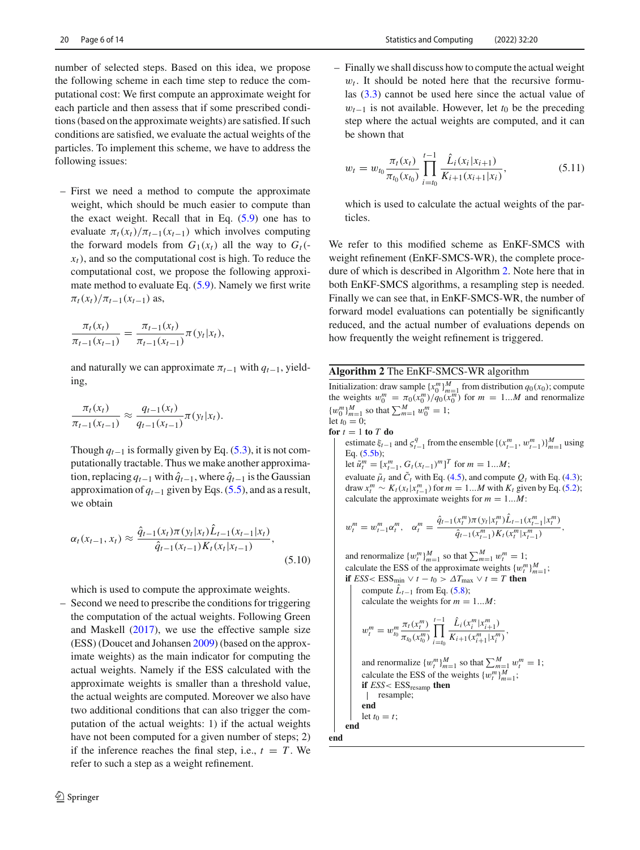number of selected steps. Based on this idea, we propose the following scheme in each time step to reduce the computational cost: We first compute an approximate weight for each particle and then assess that if some prescribed conditions (based on the approximate weights) are satisfied. If such conditions are satisfied, we evaluate the actual weights of the particles. To implement this scheme, we have to address the following issues:

– First we need a method to compute the approximate weight, which should be much easier to compute than the exact weight. Recall that in Eq. [\(5.9\)](#page-5-4) one has to evaluate  $\pi_t(x_t)/\pi_{t-1}(x_{t-1})$  which involves computing the forward models from  $G_1(x_t)$  all the way to  $G_t(-)$  $x<sub>t</sub>$ ), and so the computational cost is high. To reduce the computational cost, we propose the following approximate method to evaluate Eq. [\(5.9\)](#page-5-4). Namely we first write  $\pi_t(x_t)/\pi_{t-1}(x_{t-1})$  as,

$$
\frac{\pi_t(x_t)}{\pi_{t-1}(x_{t-1})} = \frac{\pi_{t-1}(x_t)}{\pi_{t-1}(x_{t-1})} \pi(y_t|x_t),
$$

and naturally we can approximate  $\pi_{t-1}$  with  $q_{t-1}$ , yielding,

$$
\frac{\pi_t(x_t)}{\pi_{t-1}(x_{t-1})} \approx \frac{q_{t-1}(x_t)}{q_{t-1}(x_{t-1})} \pi(y_t|x_t).
$$

Though  $q_{t-1}$  is formally given by Eq. [\(5.3\)](#page-5-5), it is not computationally tractable. Thus we make another approximation, replacing  $q_{t-1}$  with  $\hat{q}_{t-1}$ , where  $\hat{q}_{t-1}$  is the Gaussian approximation of *qt*−<sup>1</sup> given by Eqs. [\(5.5\)](#page-5-6), and as a result, we obtain

$$
\alpha_t(x_{t-1}, x_t) \approx \frac{\hat{q}_{t-1}(x_t)\pi(y_t|x_t)\hat{L}_{t-1}(x_{t-1}|x_t)}{\hat{q}_{t-1}(x_{t-1})K_t(x_t|x_{t-1})},
$$
\n(5.10)

which is used to compute the approximate weights.

– Second we need to prescribe the conditions for triggering the computation of the actual weights. Following Green and Maskel[l](#page-14-15) [\(2017\)](#page-14-15), we use the effective sample size (ESS) (Doucet and Johanse[n](#page-13-6) [2009\)](#page-13-6) (based on the approximate weights) as the main indicator for computing the actual weights. Namely if the ESS calculated with the approximate weights is smaller than a threshold value, the actual weights are computed. Moreover we also have two additional conditions that can also trigger the computation of the actual weights: 1) if the actual weights have not been computed for a given number of steps; 2) if the inference reaches the final step, i.e.,  $t = T$ . We refer to such a step as a weight refinement.

– Finally we shall discuss how to compute the actual weight  $w_t$ . It should be noted here that the recursive formulas [\(3.3\)](#page-3-2) cannot be used here since the actual value of  $w_{t-1}$  is not available. However, let  $t_0$  be the preceding step where the actual weights are computed, and it can be shown that

$$
w_t = w_{t_0} \frac{\pi_t(x_t)}{\pi_{t_0}(x_{t_0})} \prod_{i=t_0}^{t-1} \frac{\hat{L}_i(x_i|x_{i+1})}{K_{i+1}(x_{i+1}|x_i)},
$$
(5.11)

which is used to calculate the actual weights of the particles.

We refer to this modified scheme as EnKF-SMCS with weight refinement (EnKF-SMCS-WR), the complete procedure of which is described in Algorithm [2.](#page-6-0) Note here that in both EnKF-SMCS algorithms, a resampling step is needed. Finally we can see that, in EnKF-SMCS-WR, the number of forward model evaluations can potentially be significantly reduced, and the actual number of evaluations depends on how frequently the weight refinement is triggered.

#### <span id="page-6-0"></span>**Algorithm 2** The EnKF-SMCS-WR algorithm

Initialization: draw sample  $\{x_0^m\}_{m=1}^M$  from distribution  $q_0(x_0)$ ; compute the weights  $w_0^m = \pi_0(x_0^m)/q_0(x_0^m)$  for  $m = 1...M$  and renormalize  ${w_0^m}_{m=1}^M$  so that  $\sum_{m=1}^M w_0^m = 1$ ; let  $t_0 = 0$ ; for  $t = 1$  to  $T$  do estimate  $\xi_{t-1}$  and  $\zeta_{t-1}^q$  from the ensemble  $\{(x_{t-1}^m, w_{t-1}^m)\}_{m=1}^M$  using Eq. [\(5.5b\)](#page-5-0); let  $\tilde{u}_t^m = [x_{t-1}^m, G_t(x_{t-1})^m]^T$  for  $m = 1...M$ ;

evaluate  $\tilde{\mu}_t$  and  $\tilde{C}_t$  with Eq. [\(4.5\)](#page-4-8), and compute  $Q_t$  with Eq. [\(4.3\)](#page-4-4); draw  $x_t^m \sim K_t(x_t | x_{t-1}^m)$  for  $m = 1...M$  with  $K_t$  given by Eq. [\(5.2\)](#page-4-7); calculate the approximate weights for  $m = 1...M$ :

$$
u_t^m = w_{t-1}^m \alpha_t^m, \quad \alpha_t^m = \frac{\hat{q}_{t-1}(x_t^m) \pi(y_t | x_t^m) \hat{L}_{t-1}(x_{t-1}^m | x_t^m)}{\hat{q}_{t-1}(x_{t-1}^m) K_t(x_t^m | x_{t-1}^m)},
$$

and renormalize  $\{w_t^m\}_{m=1}^M$  so that  $\sum_{m=1}^M w_t^m = 1$ ; calculate the ESS of the approximate weights  $\{w_i^m\}_{m=1}^M$ ; **if**  $ESS < ESS_{min} \vee t - t_0 > \Delta T_{max} \vee t = T$  **then** 

compute  $\hat{L}_{t-1}$  from Eq. [\(5.8\)](#page-5-3);

calculate the weights for  $m = 1...M$ :

$$
w_t^m = w_{t_0}^m \frac{\pi_t(x_t^m)}{\pi_{t_0}(x_{t_0}^m)} \prod_{i=t_0}^{t-1} \frac{\hat{L}_i(x_i^m | x_{i+1}^m)}{K_{i+1}(x_{i+1}^m | x_i^m)},
$$
  
and renormalize  $\{w_t^m\}_{m=1}^M$  so that  $\sum_{m=1}^M w_t^m = 1$ ;  
calculate the ESS of the weights  $\{w_t^m\}_{m=1}^M$ ;  
if *ESS <* ESS<sub>resamp</sub> **then**  
| resample;  
**end**

let  $t_0 = t$ ; **end**

w*<sup>m</sup>*

**end**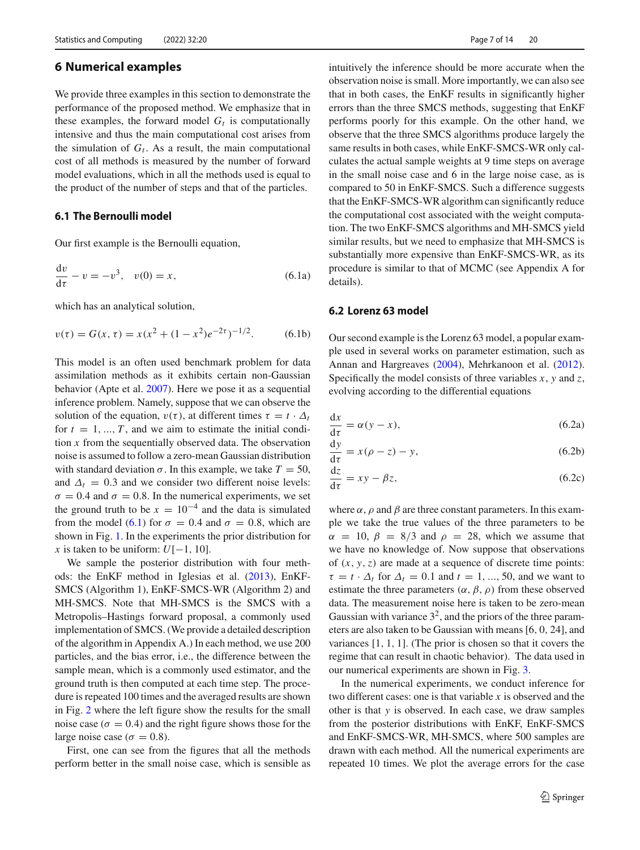### <span id="page-7-0"></span>**6 Numerical examples**

We provide three examples in this section to demonstrate the performance of the proposed method. We emphasize that in these examples, the forward model  $G_t$  is computationally intensive and thus the main computational cost arises from the simulation of  $G_t$ . As a result, the main computational cost of all methods is measured by the number of forward model evaluations, which in all the methods used is equal to the product of the number of steps and that of the particles.

## <span id="page-7-2"></span>**6.1 The Bernoulli model**

Our first example is the Bernoulli equation,

$$
\frac{dv}{d\tau} - v = -v^3, \quad v(0) = x,\tag{6.1a}
$$

which has an analytical solution,

$$
v(\tau) = G(x, \tau) = x(x^2 + (1 - x^2)e^{-2\tau})^{-1/2}.
$$
 (6.1b)

This model is an often used benchmark problem for data assimilation methods as it exhibits certain non-Gaussian behavior (Apte et al[.](#page-13-11) [2007](#page-13-11)). Here we pose it as a sequential inference problem. Namely, suppose that we can observe the solution of the equation,  $v(\tau)$ , at different times  $\tau = t \cdot \Delta_t$ for  $t = 1, ..., T$ , and we aim to estimate the initial condition *x* from the sequentially observed data. The observation noise is assumed to follow a zero-mean Gaussian distribution with standard deviation  $\sigma$ . In this example, we take  $T = 50$ , and  $\Delta_t = 0.3$  and we consider two different noise levels:  $\sigma = 0.4$  and  $\sigma = 0.8$ . In the numerical experiments, we set the ground truth to be  $x = 10^{-4}$  and the data is simulated from the model [\(6.1\)](#page-7-1) for  $\sigma = 0.4$  and  $\sigma = 0.8$ , which are shown in Fig. [1.](#page-8-0) In the experiments the prior distribution for *x* is taken to be uniform:  $U[-1, 10]$ .

We sample the posterior distribution with four methods: the EnKF method in Iglesias et al[.](#page-14-4) [\(2013](#page-14-4)), EnKF-SMCS (Algorithm 1), EnKF-SMCS-WR (Algorithm 2) and MH-SMCS. Note that MH-SMCS is the SMCS with a Metropolis–Hastings forward proposal, a commonly used implementation of SMCS. (We provide a detailed description of the algorithm in Appendix A.) In each method, we use 200 particles, and the bias error, i.e., the difference between the sample mean, which is a commonly used estimator, and the ground truth is then computed at each time step. The procedure is repeated 100 times and the averaged results are shown in Fig. [2](#page-8-1) where the left figure show the results for the small noise case ( $\sigma = 0.4$ ) and the right figure shows those for the large noise case ( $\sigma = 0.8$ ).

First, one can see from the figures that all the methods perform better in the small noise case, which is sensible as intuitively the inference should be more accurate when the observation noise is small. More importantly, we can also see that in both cases, the EnKF results in significantly higher errors than the three SMCS methods, suggesting that EnKF performs poorly for this example. On the other hand, we observe that the three SMCS algorithms produce largely the same results in both cases, while EnKF-SMCS-WR only calculates the actual sample weights at 9 time steps on average in the small noise case and 6 in the large noise case, as is compared to 50 in EnKF-SMCS. Such a difference suggests that the EnKF-SMCS-WR algorithm can significantly reduce the computational cost associated with the weight computation. The two EnKF-SMCS algorithms and MH-SMCS yield similar results, but we need to emphasize that MH-SMCS is substantially more expensive than EnKF-SMCS-WR, as its procedure is similar to that of MCMC (see Appendix A for details).

#### <span id="page-7-1"></span>**6.2 Lorenz 63 model**

Our second example is the Lorenz 63 model, a popular example used in several works on parameter estimation, such as Annan and Hargreave[s](#page-13-0) [\(2004](#page-13-0)), Mehrkanoon et al[.](#page-14-16) [\(2012](#page-14-16)). Specifically the model consists of three variables *x*, *y* and *z*, evolving according to the differential equations

$$
\frac{\mathrm{d}x}{\mathrm{d}\tau} = \alpha(y - x),\tag{6.2a}
$$

$$
\frac{dy}{d\tau} = x(\rho - z) - y,\tag{6.2b}
$$

$$
\frac{\mathrm{d}z}{\mathrm{d}\tau} = xy - \beta z,\tag{6.2c}
$$

where  $\alpha$ ,  $\rho$  and  $\beta$  are three constant parameters. In this example we take the true values of the three parameters to be  $\alpha = 10, \beta = 8/3$  and  $\rho = 28$ , which we assume that we have no knowledge of. Now suppose that observations of  $(x, y, z)$  are made at a sequence of discrete time points:  $\tau = t \cdot \Delta_t$  for  $\Delta_t = 0.1$  and  $t = 1, ..., 50$ , and we want to estimate the three parameters  $(\alpha, \beta, \rho)$  from these observed data. The measurement noise here is taken to be zero-mean Gaussian with variance  $3^2$ , and the priors of the three parameters are also taken to be Gaussian with means[6, 0, 24], and variances [1, 1, 1]. (The prior is chosen so that it covers the regime that can result in chaotic behavior). The data used in our numerical experiments are shown in Fig. [3.](#page-9-0)

In the numerical experiments, we conduct inference for two different cases: one is that variable *x* is observed and the other is that *y* is observed. In each case, we draw samples from the posterior distributions with EnKF, EnKF-SMCS and EnKF-SMCS-WR, MH-SMCS, where 500 samples are drawn with each method. All the numerical experiments are repeated 10 times. We plot the average errors for the case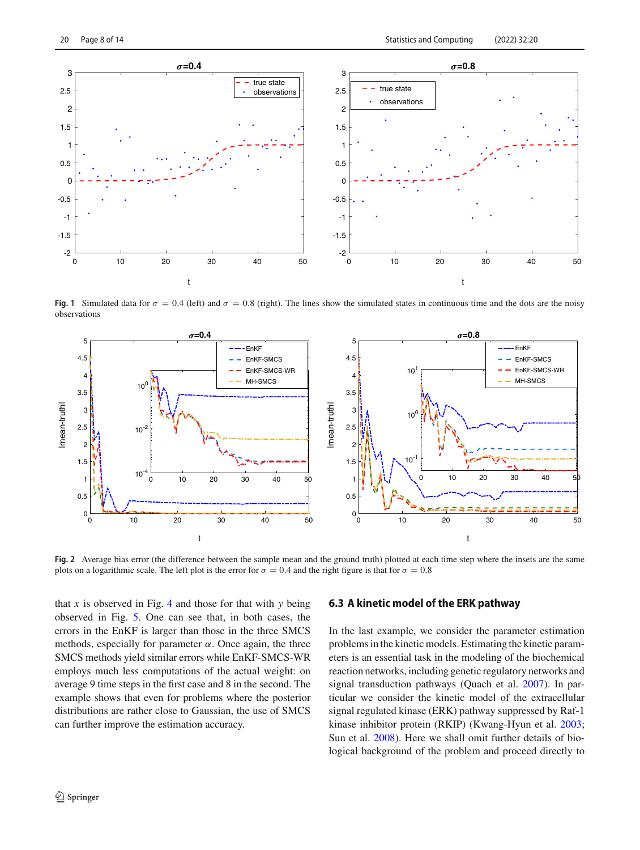

<span id="page-8-0"></span>**Fig. 1** Simulated data for  $\sigma = 0.4$  (left) and  $\sigma = 0.8$  (right). The lines show the simulated states in continuous time and the dots are the noisy observations



<span id="page-8-1"></span>**Fig. 2** Average bias error (the difference between the sample mean and the ground truth) plotted at each time step where the insets are the same plots on a logarithmic scale. The left plot is the error for  $\sigma = 0.4$  and the right figure is that for  $\sigma = 0.8$ 

that  $x$  is observed in Fig. [4](#page-9-1) and those for that with  $y$  being observed in Fig. [5.](#page-10-0) One can see that, in both cases, the errors in the EnKF is larger than those in the three SMCS methods, especially for parameter  $\alpha$ . Once again, the three SMCS methods yield similar errors while EnKF-SMCS-WR employs much less computations of the actual weight: on average 9 time steps in the first case and 8 in the second. The example shows that even for problems where the posterior distributions are rather close to Gaussian, the use of SMCS can further improve the estimation accuracy.

#### **6.3 A kinetic model of the ERK pathway**

In the last example, we consider the parameter estimation problems in the kinetic models. Estimating the kinetic parameters is an essential task in the modeling of the biochemical reaction networks, including genetic regulatory networks and signal transduction pathways (Quach et al[.](#page-14-17) [2007](#page-14-17)). In particular we consider the kinetic model of the extracellular signal regulated kinase (ERK) pathway suppressed by Raf-1 kinase inhibitor protein (RKIP) (Kwang-Hyun et al[.](#page-14-18) [2003](#page-14-18); Sun et al[.](#page-14-19) [2008\)](#page-14-19). Here we shall omit further details of biological background of the problem and proceed directly to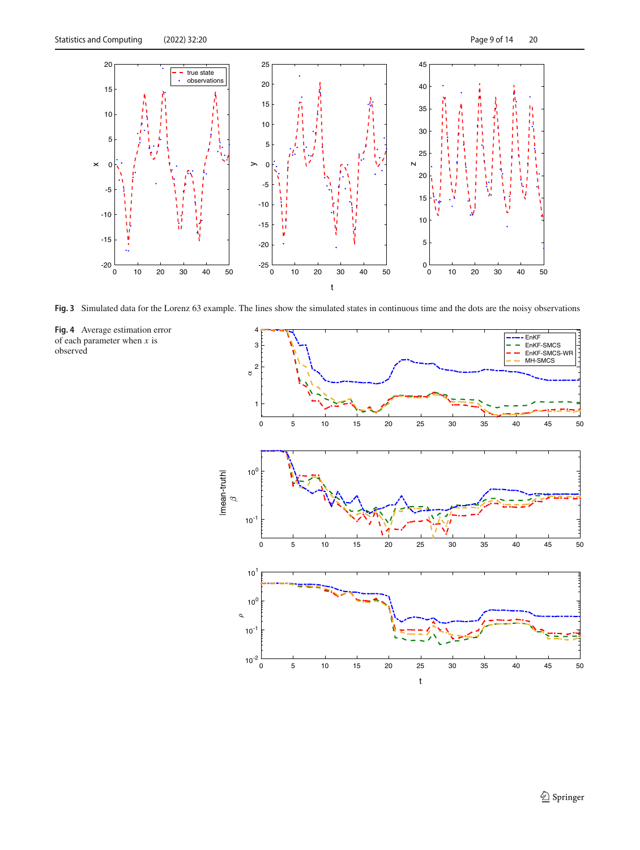

<span id="page-9-1"></span><span id="page-9-0"></span>**Fig. 3** Simulated data for the Lorenz 63 example. The lines show the simulated states in continuous time and the dots are the noisy observations



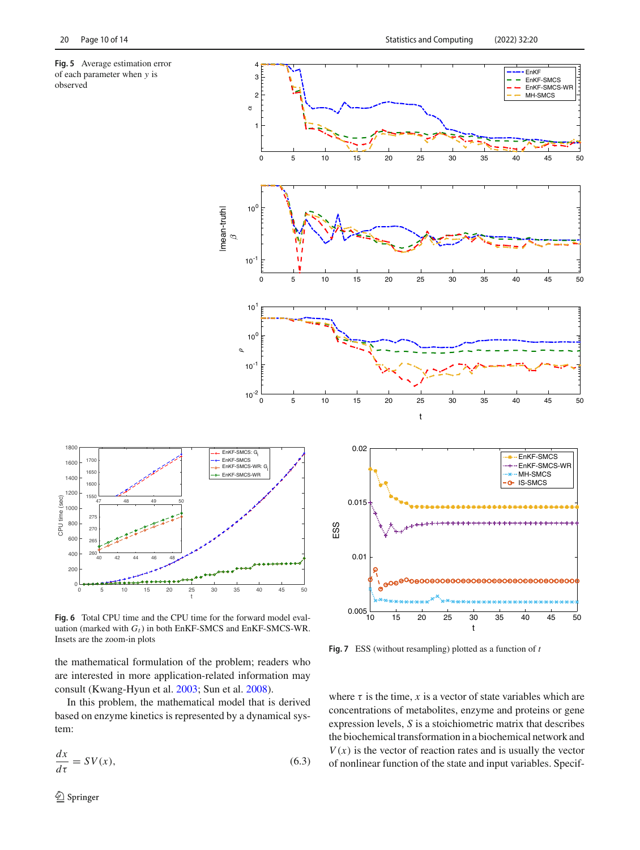<span id="page-10-0"></span>





**Fig. 6** Total CPU time and the CPU time for the forward model evaluation (marked with  $G_t$ ) in both EnKF-SMCS and EnKF-SMCS-WR. Insets are the zoom-in plots

the mathematical formulation of the problem; readers who are interested in more application-related information may consult (Kwang-Hyun et al[.](#page-14-18) [2003](#page-14-18); Sun et al[.](#page-14-19) [2008](#page-14-19)).

In this problem, the mathematical model that is derived based on enzyme kinetics is represented by a dynamical system:

$$
\frac{dx}{d\tau} = SV(x),\tag{6.3}
$$



**Fig. 7** ESS (without resampling) plotted as a function of *t*

where  $\tau$  is the time,  $x$  is a vector of state variables which are concentrations of metabolites, enzyme and proteins or gene expression levels, *S* is a stoichiometric matrix that describes the biochemical transformation in a biochemical network and  $V(x)$  is the vector of reaction rates and is usually the vector of nonlinear function of the state and input variables. Specif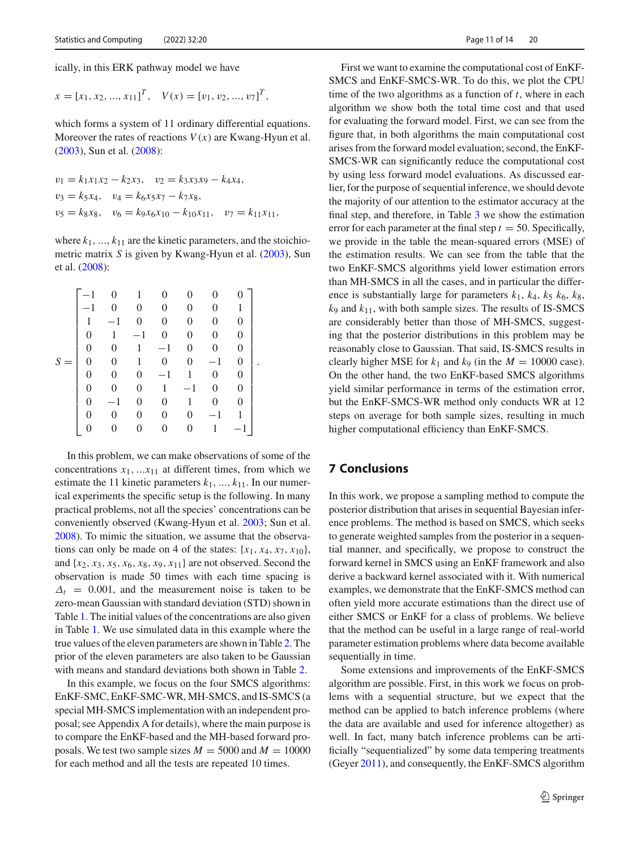ically, in this ERK pathway model we have

$$
x = [x_1, x_2, ..., x_{11}]^T
$$
,  $V(x) = [v_1, v_2, ..., v_7]^T$ ,

which forms a system of 11 ordinary differential equations. Moreover the rates of reactions  $V(x)$  are Kwang-Hyun et al[.](#page-14-18) [\(2003](#page-14-18)), Sun et al[.](#page-14-19) [\(2008\)](#page-14-19):

$$
v_1 = k_1 x_1 x_2 - k_2 x_3, \quad v_2 = k_3 x_3 x_9 - k_4 x_4,
$$
  
\n
$$
v_3 = k_5 x_4, \quad v_4 = k_6 x_5 x_7 - k_7 x_8,
$$
  
\n
$$
v_5 = k_8 x_8, \quad v_6 = k_9 x_6 x_{10} - k_{10} x_{11}, \quad v_7 = k_{11} x_{11},
$$

where  $k_1, ..., k_{11}$  are the kinetic parameters, and the stoichiometric matrix *S* is given by Kwang-Hyun et al[.](#page-14-18) [\(2003](#page-14-18)), Sun et al[.](#page-14-19) [\(2008](#page-14-19)):

|          |          |                  | 0       | 0              | 0              | 0       | 1        |  |
|----------|----------|------------------|---------|----------------|----------------|---------|----------|--|
|          |          | $-1$             | 0       | 0              | $\overline{0}$ | 0       | 0        |  |
|          | $\theta$ | 1                | $^{-1}$ | 0              | 0              | 0       | 0        |  |
|          | 0        | $\overline{0}$   | 1       | $-1$           | 0              | 0       | $\theta$ |  |
| S<br>$=$ |          | $\boldsymbol{0}$ | 1       | $\overline{0}$ | $\overline{0}$ | $-1$    | 0        |  |
|          | 0        | $\overline{0}$   | 0       | $-1$           | 1              | 0       | 0        |  |
|          | 0        |                  | 0       | 1              | $-1$           | 0       | $\theta$ |  |
|          | 0        | $-1$             | 0       | 0              | 1              | 0       | 0        |  |
|          | 0        |                  | 0       | 0              | 0              | $^{-1}$ | 1        |  |
|          |          |                  |         |                | 0              |         |          |  |

In this problem, we can make observations of some of the concentrations  $x_1$ , ... $x_{11}$  at different times, from which we estimate the 11 kinetic parameters  $k_1, ..., k_{11}$ . In our numerical experiments the specific setup is the following. In many practical problems, not all the species' concentrations can be conveniently observed (Kwang-Hyun et al[.](#page-14-18) [2003;](#page-14-18) Sun et al[.](#page-14-19) [2008\)](#page-14-19). To mimic the situation, we assume that the observations can only be made on 4 of the states:  $\{x_1, x_4, x_7, x_{10}\}$ , and  $\{x_2, x_3, x_5, x_6, x_8, x_9, x_{11}\}$  are not observed. Second the observation is made 50 times with each time spacing is  $\Delta_t$  = 0.001, and the measurement noise is taken to be zero-mean Gaussian with standard deviation (STD) shown in Table [1.](#page-12-0) The initial values of the concentrations are also given in Table [1.](#page-12-0) We use simulated data in this example where the true values of the eleven parameters are shown in Table [2.](#page-12-1) The prior of the eleven parameters are also taken to be Gaussian with means and standard deviations both shown in Table [2.](#page-12-1)

In this example, we focus on the four SMCS algorithms: EnKF-SMC, EnKF-SMC-WR, MH-SMCS, and IS-SMCS (a special MH-SMCS implementation with an independent proposal; see Appendix A for details), where the main purpose is to compare the EnKF-based and the MH-based forward proposals. We test two sample sizes  $M = 5000$  and  $M = 10000$ for each method and all the tests are repeated 10 times.

First we want to examine the computational cost of EnKF-SMCS and EnKF-SMCS-WR. To do this, we plot the CPU time of the two algorithms as a function of *t*, where in each algorithm we show both the total time cost and that used for evaluating the forward model. First, we can see from the figure that, in both algorithms the main computational cost arises from the forward model evaluation; second, the EnKF-SMCS-WR can significantly reduce the computational cost by using less forward model evaluations. As discussed earlier, for the purpose of sequential inference, we should devote the majority of our attention to the estimator accuracy at the final step, and therefore, in Table [3](#page-12-2) we show the estimation error for each parameter at the final step  $t = 50$ . Specifically, we provide in the table the mean-squared errors (MSE) of the estimation results. We can see from the table that the two EnKF-SMCS algorithms yield lower estimation errors than MH-SMCS in all the cases, and in particular the difference is substantially large for parameters  $k_1$ ,  $k_4$ ,  $k_5$ ,  $k_6$ ,  $k_8$ ,  $k_9$  and  $k_{11}$ , with both sample sizes. The results of IS-SMCS are considerably better than those of MH-SMCS, suggesting that the posterior distributions in this problem may be reasonably close to Gaussian. That said, IS-SMCS results in clearly higher MSE for  $k_1$  and  $k_9$  (in the  $M = 10000$  case). On the other hand, the two EnKF-based SMCS algorithms yield similar performance in terms of the estimation error, but the EnKF-SMCS-WR method only conducts WR at 12 steps on average for both sample sizes, resulting in much higher computational efficiency than EnKF-SMCS.

# <span id="page-11-0"></span>**7 Conclusions**

In this work, we propose a sampling method to compute the posterior distribution that arises in sequential Bayesian inference problems. The method is based on SMCS, which seeks to generate weighted samples from the posterior in a sequential manner, and specifically, we propose to construct the forward kernel in SMCS using an EnKF framework and also derive a backward kernel associated with it. With numerical examples, we demonstrate that the EnKF-SMCS method can often yield more accurate estimations than the direct use of either SMCS or EnKF for a class of problems. We believe that the method can be useful in a large range of real-world parameter estimation problems where data become available sequentially in time.

Some extensions and improvements of the EnKF-SMCS algorithm are possible. First, in this work we focus on problems with a sequential structure, but we expect that the method can be applied to batch inference problems (where the data are available and used for inference altogether) as well. In fact, many batch inference problems can be artificially "sequentialized" by some data tempering treatments (Geye[r](#page-14-20) [2011](#page-14-20)), and consequently, the EnKF-SMCS algorithm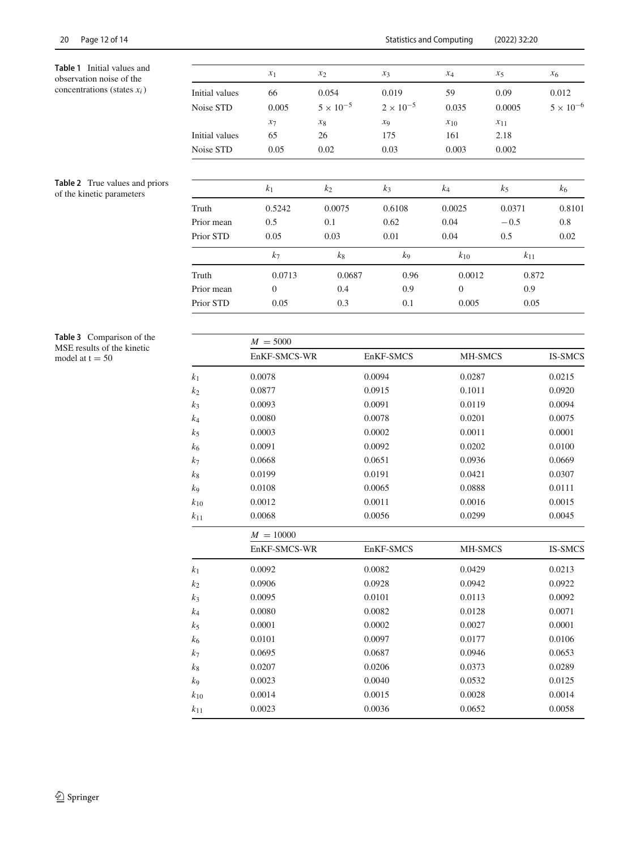<span id="page-12-0"></span>**Table 1** Initial values and observation noise of the concentrations (states *xi*)

<span id="page-12-1"></span>**Table 2** True values and priors  $h$ <sup>2</sup> **k k kinetic** parameters

|                   | $x_1$          | $x_2$              | $x_3$              | $x_4$         | $x_5$    | x <sub>6</sub>     |
|-------------------|----------------|--------------------|--------------------|---------------|----------|--------------------|
| Initial values    | 66             | 0.054              | 0.019              | 59            | 0.09     | 0.012              |
| Noise STD         | 0.005          | $5 \times 10^{-5}$ | $2 \times 10^{-5}$ | 0.035         | 0.0005   | $5 \times 10^{-6}$ |
|                   | $x_7$          | $x_8$              | $x_9$              | $x_{10}$      | $x_{11}$ |                    |
| Initial values    | 65             | 26                 | 175                | 161           | 2.18     |                    |
| Noise STD         | 0.05           | 0.02               | 0.03               | 0.003         | 0.002    |                    |
|                   | $k_1$          | $k_2$              | $k_3$              | $k_4$         | $k_5$    | k <sub>6</sub>     |
| Truth             | 0.5242         | 0.0075             | 0.6108             | 0.0025        | 0.0371   | 0.8101             |
| Prior mean        | 0.5            | 0.1                | 0.62               | 0.04          | $-0.5$   | 0.8                |
| Prior STD         | 0.05           | 0.03               | 0.01               | 0.04          | 0.5      | 0.02               |
|                   | k <sub>7</sub> | $k_8$              | $k_{9}$            | $k_{10}$      | $k_{11}$ |                    |
| Truth             | 0.0713         | 0.0687             | 0.96               | 0.0012        | 0.872    |                    |
| Prior mean        | $\mathbf{0}$   | 0.4                | 0.9                | $\Omega$      | 0.9      |                    |
| Prior STD<br>0.05 |                | 0.3                | 0.1                | 0.005<br>0.05 |          |                    |

<span id="page-12-2"></span>**Table 3** Comparison of the MSE results of the kinetic model at  $t = 50$ 

|          | $M = 5000$   |           |         |                |  |  |  |  |  |  |
|----------|--------------|-----------|---------|----------------|--|--|--|--|--|--|
|          | EnKF-SMCS-WR | EnKF-SMCS | MH-SMCS | <b>IS-SMCS</b> |  |  |  |  |  |  |
| $k_1$    | 0.0078       | 0.0094    | 0.0287  | 0.0215         |  |  |  |  |  |  |
| k2       | 0.0877       | 0.0915    | 0.1011  | 0.0920         |  |  |  |  |  |  |
| $k_3$    | 0.0093       | 0.0091    | 0.0119  | 0.0094         |  |  |  |  |  |  |
| k4       | 0.0080       | 0.0078    | 0.0201  | 0.0075         |  |  |  |  |  |  |
| k5       | 0.0003       | 0.0002    | 0.0011  | 0.0001         |  |  |  |  |  |  |
| k6       | 0.0091       | 0.0092    | 0.0202  | 0.0100         |  |  |  |  |  |  |
| k7       | 0.0668       | 0.0651    | 0.0936  | 0.0669         |  |  |  |  |  |  |
| $k_{8}$  | 0.0199       | 0.0191    | 0.0421  | 0.0307         |  |  |  |  |  |  |
| k9       | 0.0108       | 0.0065    | 0.0888  | 0.0111         |  |  |  |  |  |  |
| $k_{10}$ | 0.0012       | 0.0011    | 0.0016  | 0.0015         |  |  |  |  |  |  |
| $k_{11}$ | 0.0068       | 0.0056    | 0.0299  | 0.0045         |  |  |  |  |  |  |
|          | $M = 10000$  |           |         |                |  |  |  |  |  |  |
|          | EnKF-SMCS-WR | EnKF-SMCS | MH-SMCS | <b>IS-SMCS</b> |  |  |  |  |  |  |
| $k_1$    | 0.0092       | 0.0082    | 0.0429  | 0.0213         |  |  |  |  |  |  |
| $k_{2}$  | 0.0906       | 0.0928    | 0.0942  | 0.0922         |  |  |  |  |  |  |
| k3       | 0.0095       | 0.0101    | 0.0113  | 0.0092         |  |  |  |  |  |  |
| $k_4$    | 0.0080       | 0.0082    | 0.0128  | 0.0071         |  |  |  |  |  |  |
| k5       | 0.0001       | 0.0002    | 0.0027  | 0.0001         |  |  |  |  |  |  |
| $k_{6}$  | 0.0101       | 0.0097    | 0.0177  | 0.0106         |  |  |  |  |  |  |
| k7       | 0.0695       | 0.0687    | 0.0946  | 0.0653         |  |  |  |  |  |  |
| $k_8$    | 0.0207       | 0.0206    | 0.0373  | 0.0289         |  |  |  |  |  |  |
| k9       | 0.0023       | 0.0040    | 0.0532  | 0.0125         |  |  |  |  |  |  |
| $k_{10}$ | 0.0014       | 0.0015    | 0.0028  | 0.0014         |  |  |  |  |  |  |
| $k_{11}$ | 0.0023       | 0.0036    | 0.0652  | 0.0058         |  |  |  |  |  |  |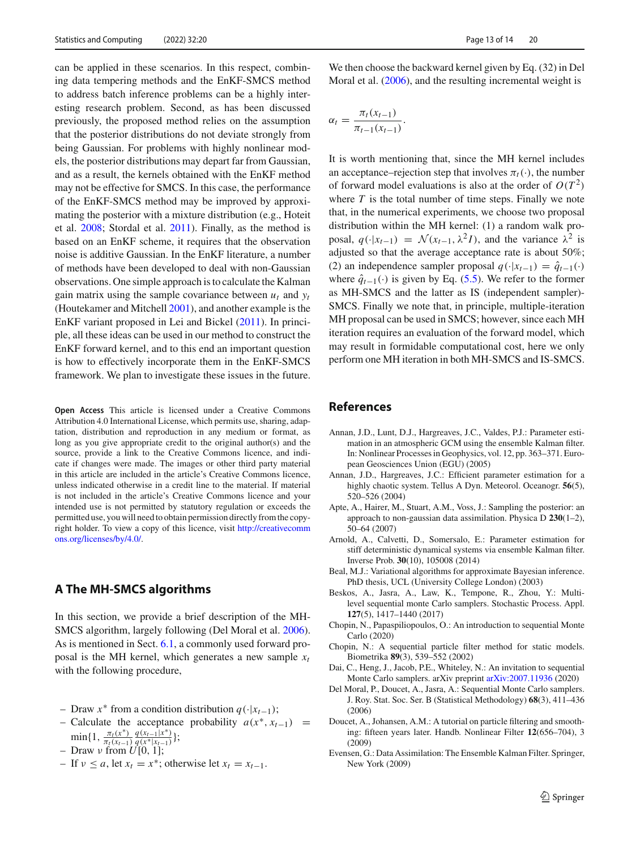can be applied in these scenarios. In this respect, combining data tempering methods and the EnKF-SMCS method to address batch inference problems can be a highly interesting research problem. Second, as has been discussed previously, the proposed method relies on the assumption that the posterior distributions do not deviate strongly from being Gaussian. For problems with highly nonlinear models, the posterior distributions may depart far from Gaussian, and as a result, the kernels obtained with the EnKF method may not be effective for SMCS. In this case, the performance of the EnKF-SMCS method may be improved by approximating the posterior with a mixture distribution (e.g., Hoteit et al[.](#page-14-21) [2008](#page-14-21); Stordal et al[.](#page-14-22) [2011](#page-14-22)). Finally, as the method is based on an EnKF scheme, it requires that the observation noise is additive Gaussian. In the EnKF literature, a number of methods have been developed to deal with non-Gaussian observations. One simple approach is to calculate the Kalman gain matrix using the sample covariance between  $u_t$  and  $y_t$ (Houtekamer and Mitchel[l](#page-14-23) [2001](#page-14-23)), and another example is the EnKF variant proposed in Lei and Bicke[l](#page-14-24) [\(2011\)](#page-14-24). In principle, all these ideas can be used in our method to construct the EnKF forward kernel, and to this end an important question is how to effectively incorporate them in the EnKF-SMCS framework. We plan to investigate these issues in the future.

**Open Access** This article is licensed under a Creative Commons Attribution 4.0 International License, which permits use, sharing, adaptation, distribution and reproduction in any medium or format, as long as you give appropriate credit to the original author(s) and the source, provide a link to the Creative Commons licence, and indicate if changes were made. The images or other third party material in this article are included in the article's Creative Commons licence, unless indicated otherwise in a credit line to the material. If material is not included in the article's Creative Commons licence and your intended use is not permitted by statutory regulation or exceeds the permitted use, you will need to obtain permission directly from the copyright holder. To view a copy of this licence, visit [http://creativecomm](http://creativecommons.org/licenses/by/4.0/) [ons.org/licenses/by/4.0/.](http://creativecommons.org/licenses/by/4.0/)

## **A The MH-SMCS algorithms**

In this section, we provide a brief description of the MH-SMCS algorithm, largely following (Del Moral et al[.](#page-13-5) [2006](#page-13-5)). As is mentioned in Sect. [6.1,](#page-7-2) a commonly used forward proposal is the MH kernel, which generates a new sample  $x_t$ with the following procedure,

- Draw *x*<sup>∗</sup> from a condition distribution *q*(·|*xt*−1);
- Calculate the acceptance probability *a*(*x*∗, *xt*−1) =  $\min\{1, \frac{\pi_t(x^*)}{\pi_t(x_{t-1})}\}$ *q*(*xt*−1|*x*∗) *<sup>q</sup>*(*x*∗|*xt*−1)};
- Draw ν from *U*[0, 1];
- 
- $-$  If *v* ≤ *a*, let *x<sub>t</sub>* = *x*<sup>∗</sup>; otherwise let *x<sub>t</sub>* = *x*<sub>*t*−1</sub>.

We then choose the backward kernel given by Eq. (32) in Del Moral et al[.](#page-13-5) [\(2006](#page-13-5)), and the resulting incremental weight is

$$
\alpha_t = \frac{\pi_t(x_{t-1})}{\pi_{t-1}(x_{t-1})}.
$$

It is worth mentioning that, since the MH kernel includes an acceptance–rejection step that involves  $\pi_t(\cdot)$ , the number of forward model evaluations is also at the order of  $O(T^2)$ where *T* is the total number of time steps. Finally we note that, in the numerical experiments, we choose two proposal distribution within the MH kernel: (1) a random walk proposal,  $q(\cdot|x_{t-1}) = \mathcal{N}(x_{t-1}, \lambda^2 I)$ , and the variance  $\lambda^2$  is adjusted so that the average acceptance rate is about 50%; (2) an independence sampler proposal  $q(\cdot|x_{t-1}) = \hat{q}_{t-1}(\cdot)$ where  $\hat{q}_{t-1}(\cdot)$  is given by Eq. [\(5.5\)](#page-5-6). We refer to the former as MH-SMCS and the latter as IS (independent sampler)- SMCS. Finally we note that, in principle, multiple-iteration MH proposal can be used in SMCS; however, since each MH iteration requires an evaluation of the forward model, which may result in formidable computational cost, here we only perform one MH iteration in both MH-SMCS and IS-SMCS.

#### **References**

- <span id="page-13-3"></span>Annan, J.D., Lunt, D.J., Hargreaves, J.C., Valdes, P.J.: Parameter estimation in an atmospheric GCM using the ensemble Kalman filter. In: Nonlinear Processes in Geophysics, vol. 12, pp. 363–371. European Geosciences Union (EGU) (2005)
- <span id="page-13-0"></span>Annan, J.D., Hargreaves, J.C.: Efficient parameter estimation for a highly chaotic system. Tellus A Dyn. Meteorol. Oceanogr. **56**(5), 520–526 (2004)
- <span id="page-13-11"></span>Apte, A., Hairer, M., Stuart, A.M., Voss, J.: Sampling the posterior: an approach to non-gaussian data assimilation. Physica D **230**(1–2), 50–64 (2007)
- <span id="page-13-4"></span>Arnold, A., Calvetti, D., Somersalo, E.: Parameter estimation for stiff deterministic dynamical systems via ensemble Kalman filter. Inverse Prob. **30**(10), 105008 (2014)
- <span id="page-13-1"></span>Beal, M.J.: Variational algorithms for approximate Bayesian inference. PhD thesis, UCL (University College London) (2003)
- <span id="page-13-7"></span>Beskos, A., Jasra, A., Law, K., Tempone, R., Zhou, Y.: Multilevel sequential monte Carlo samplers. Stochastic Process. Appl. **127**(5), 1417–1440 (2017)
- <span id="page-13-9"></span>Chopin, N., Papaspiliopoulos, O.: An introduction to sequential Monte Carlo (2020)
- <span id="page-13-10"></span>Chopin, N.: A sequential particle filter method for static models. Biometrika **89**(3), 539–552 (2002)
- <span id="page-13-8"></span>Dai, C., Heng, J., Jacob, P.E., Whiteley, N.: An invitation to sequential Monte Carlo samplers. arXiv preprint [arXiv:2007.11936](http://arxiv.org/abs/2007.11936) (2020)
- <span id="page-13-5"></span>Del Moral, P., Doucet, A., Jasra, A.: Sequential Monte Carlo samplers. J. Roy. Stat. Soc. Ser. B (Statistical Methodology) **68**(3), 411–436 (2006)
- <span id="page-13-6"></span>Doucet, A., Johansen, A.M.: A tutorial on particle filtering and smoothing: fifteen years later. Handb. Nonlinear Filter **12**(656–704), 3 (2009)
- <span id="page-13-2"></span>Evensen, G.: Data Assimilation: The Ensemble Kalman Filter. Springer, New York (2009)